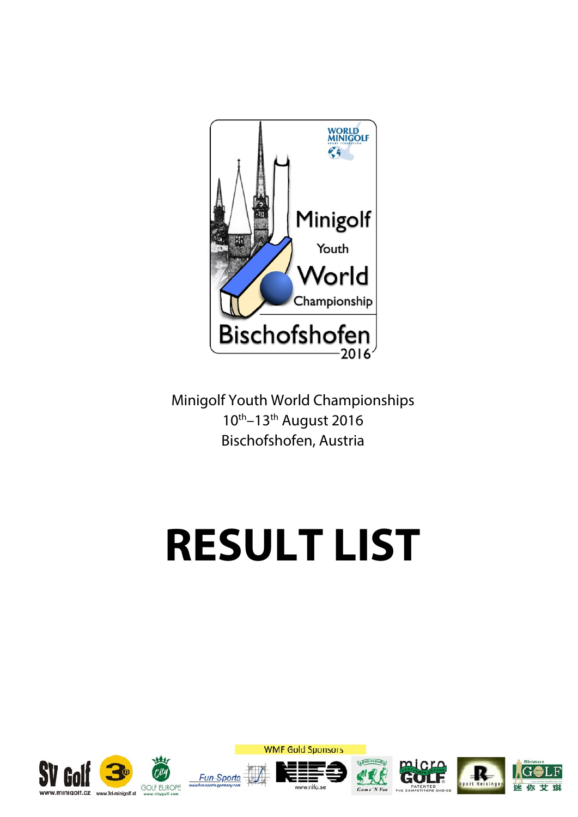

Minigolf Youth World Championships 10th–13th August 2016 Bischofshofen, Austria

# **RESULT LIST**













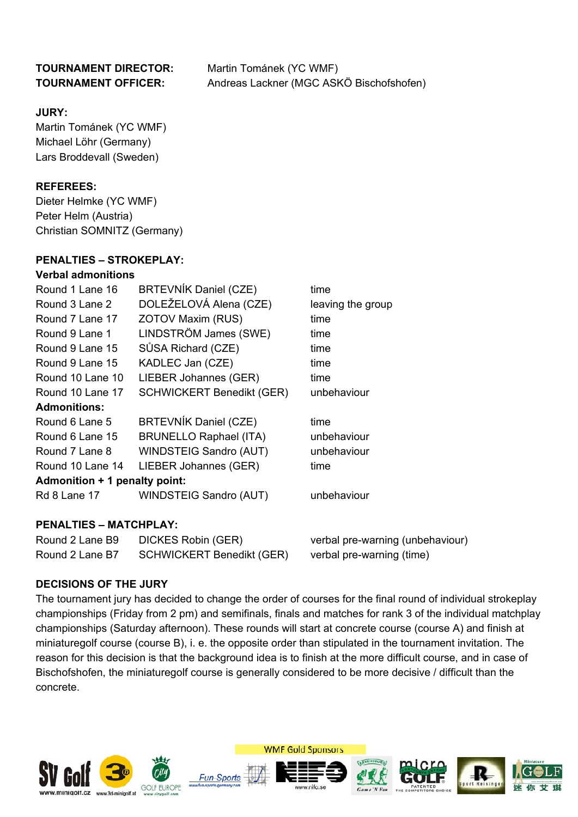## **TOURNAMENT DIRECTOR:** Martin Tománek (YC WMF) **TOURNAMENT OFFICER:** Andreas Lackner (MGC ASKÖ Bischofshofen)

### **JURY:**

Martin Tománek (YC WMF) Michael Löhr (Germany) Lars Broddevall (Sweden)

## **REFEREES:**

Dieter Helmke (YC WMF) Peter Helm (Austria) Christian SOMNITZ (Germany)

### **PENALTIES – STROKEPLAY:**

### **Verbal admonitions**

| Round 1 Lane 16               | <b>BRTEVNÍK Daniel (CZE)</b>     | time              |
|-------------------------------|----------------------------------|-------------------|
| Round 3 Lane 2                | DOLEŽELOVÁ Alena (CZE)           | leaving the group |
| Round 7 Lane 17               | ZOTOV Maxim (RUS)                | time              |
| Round 9 Lane 1                | LINDSTRÖM James (SWE)            | time              |
| Round 9 Lane 15               | SŮSA Richard (CZE)               | time              |
| Round 9 Lane 15               | KADLEC Jan (CZE)                 | time              |
| Round 10 Lane 10              | LIEBER Johannes (GER)            | time              |
| Round 10 Lane 17              | <b>SCHWICKERT Benedikt (GER)</b> | unbehaviour       |
| <b>Admonitions:</b>           |                                  |                   |
| Round 6 Lane 5                | BRTEVNÍK Daniel (CZE)            | time              |
| Round 6 Lane 15               | <b>BRUNELLO Raphael (ITA)</b>    | unbehaviour       |
| Round 7 Lane 8                | <b>WINDSTEIG Sandro (AUT)</b>    | unbehaviour       |
| Round 10 Lane 14              | LIEBER Johannes (GER)            | time              |
| Admonition + 1 penalty point: |                                  |                   |
| Rd 8 Lane 17                  | WINDSTEIG Sandro (AUT)           | unbehaviour       |
|                               |                                  |                   |
|                               |                                  |                   |

### **PENALTIES – MATCHPLAY:**

| Round 2 Lane B9 | DICKES Robin (GER)               | verbal pre-warning (unbehaviour) |
|-----------------|----------------------------------|----------------------------------|
| Round 2 Lane B7 | <b>SCHWICKERT Benedikt (GER)</b> | verbal pre-warning (time)        |

## **DECISIONS OF THE JURY**

The tournament jury has decided to change the order of courses for the final round of individual strokeplay championships (Friday from 2 pm) and semifinals, finals and matches for rank 3 of the individual matchplay championships (Saturday afternoon). These rounds will start at concrete course (course A) and finish at miniaturegolf course (course B), i. e. the opposite order than stipulated in the tournament invitation. The reason for this decision is that the background idea is to finish at the more difficult course, and in case of Bischofshofen, the miniaturegolf course is generally considered to be more decisive / difficult than the concrete.



Fun-Spoi









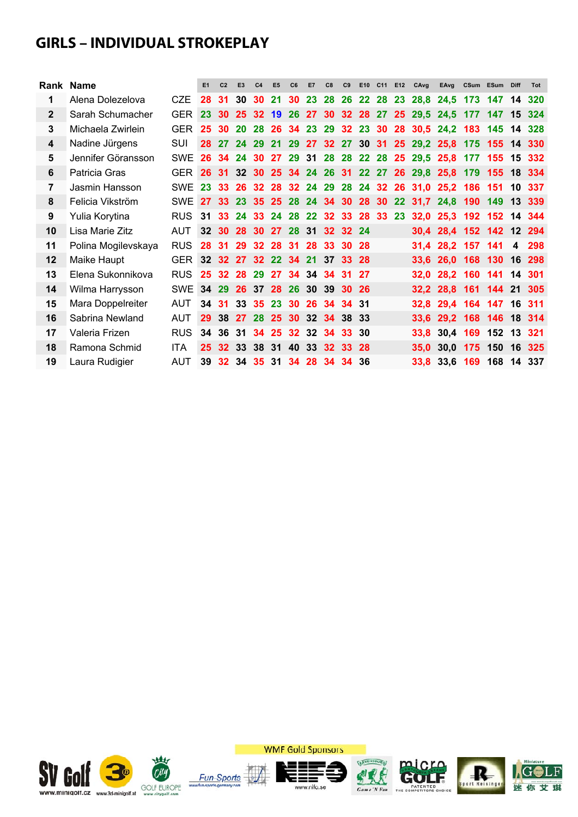## **GIRLS – INDIVIDUAL STROKEPLAY**

|              | Rank Name           |            | E1              | C <sub>2</sub> | E <sub>3</sub>                | C <sub>4</sub> | E <sub>5</sub> | C6 | <b>E7</b> | C8 |          |      |  | C9 E10 C11 E12 CAvg                        | EAvg                                                         |                | CSum ESum Diff |                | Tot |
|--------------|---------------------|------------|-----------------|----------------|-------------------------------|----------------|----------------|----|-----------|----|----------|------|--|--------------------------------------------|--------------------------------------------------------------|----------------|----------------|----------------|-----|
| 1            | Alena Dolezelova    | CZE        | 28              | 31             | 30                            |                | <b>30 21</b>   |    |           |    |          |      |  |                                            | 30 23 28 26 22 28 23 28,8 24,5 173 147 14 320                |                |                |                |     |
| $\mathbf{2}$ | Sarah Schumacher    | <b>GER</b> | 23 <sub>2</sub> |                |                               |                |                |    |           |    |          |      |  | 30 25 32 19 26 27 30 32 28 27 25 29,5 24,5 |                                                              | 177 147 15 324 |                |                |     |
| 3            | Michaela Zwirlein   | <b>GER</b> | 25 <sub>1</sub> |                |                               |                |                |    |           |    |          |      |  |                                            | 30 20 28 26 34 23 29 32 23 30 28 30,5 24,2 183 145 14 328    |                |                |                |     |
| 4            | Nadine Jürgens      | SUI        |                 |                |                               |                |                |    |           |    |          |      |  |                                            | 28 27 24 29 21 29 27 32 27 30 31 25 29,2 25,8 175 155 14 330 |                |                |                |     |
| 5            | Jennifer Göransson  | <b>SWE</b> |                 |                |                               |                |                |    |           |    |          |      |  |                                            | 26 34 24 30 27 29 31 28 28 22 28 25 29,5 25,8 177 155 15 332 |                |                |                |     |
| 6            | Patricia Gras       | <b>GER</b> |                 |                |                               |                |                |    |           |    |          |      |  |                                            | 26 31 32 30 25 34 24 26 31 22 27 26 29,8 25,8 179 155 18 334 |                |                |                |     |
| 7            | Jasmin Hansson      | <b>SWE</b> |                 |                |                               |                |                |    |           |    |          |      |  |                                            | 23 33 26 32 28 32 24 29 28 24 32 26 31,0 25,2 186 151 10 337 |                |                |                |     |
| 8            | Felicia Vikström    | <b>SWE</b> |                 |                |                               |                |                |    |           |    |          |      |  |                                            | 27 33 23 35 25 28 24 34 30 28 30 22 31,7 24,8 190 149 13 339 |                |                |                |     |
| 9            | Yulia Korytina      | <b>RUS</b> |                 |                |                               |                |                |    |           |    |          |      |  |                                            | 31 33 24 33 24 28 22 32 33 28 33 23 32,0 25,3 192 152 14 344 |                |                |                |     |
| 10           | Lisa Marie Zitz     | <b>AUT</b> |                 |                | 32 30 28 30 27 28 31 32 32 24 |                |                |    |           |    |          |      |  |                                            | 30,4 28,4 152 142 12 294                                     |                |                |                |     |
| 11           | Polina Mogilevskaya | <b>RUS</b> |                 |                | 28 31 29 32 28 31 28 33 30 28 |                |                |    |           |    |          |      |  |                                            | 31,4 28,2 157 141                                            |                |                | $\overline{4}$ | 298 |
| 12           | Maike Haupt         | <b>GER</b> |                 |                | 32 32 27 32 22 34 21 37 33 28 |                |                |    |           |    |          |      |  |                                            | 33,6 26,0 168 130 16 298                                     |                |                |                |     |
| 13           | Elena Sukonnikova   | <b>RUS</b> |                 |                | 25 32 28 29 27 34 34 34 31    |                |                |    |           |    |          | - 27 |  |                                            | 32,0 28,2 160 141 14 301                                     |                |                |                |     |
| 14           | Wilma Harrysson     | <b>SWE</b> |                 |                | 34 29 26 37 28 26 30 39 30 26 |                |                |    |           |    |          |      |  |                                            | 32,2 28,8 161 144 21 305                                     |                |                |                |     |
| 15           | Mara Doppelreiter   | <b>AUT</b> |                 |                | 34 31 33 35 23 30 26 34 34 31 |                |                |    |           |    |          |      |  |                                            | 32,8 29,4 164 147 16 311                                     |                |                |                |     |
| 16           | Sabrina Newland     | <b>AUT</b> | 29 <sup>°</sup> |                | 38 27 28 25 30 32 34 38 33    |                |                |    |           |    |          |      |  |                                            | 33,6 29,2 168 146 18 314                                     |                |                |                |     |
| 17           | Valeria Frizen      | <b>RUS</b> |                 |                | 34 36 31 34 25 32 32 34 33 30 |                |                |    |           |    |          |      |  |                                            | 33,8 30,4 169 152 13 321                                     |                |                |                |     |
| 18           | Ramona Schmid       | <b>ITA</b> | 25 <sub>2</sub> |                | 32 33 38 31 40 33 32 33 28    |                |                |    |           |    |          |      |  |                                            | 35,0 30,0 175 150 16 325                                     |                |                |                |     |
| 19           | Laura Rudigier      | <b>AUT</b> | 39              |                | 32 34 35 31 34 28             |                |                |    |           |    | 34 34 36 |      |  |                                            | 33,8 33,6 169 168 14 337                                     |                |                |                |     |



**WMF Gold Sponsors** 









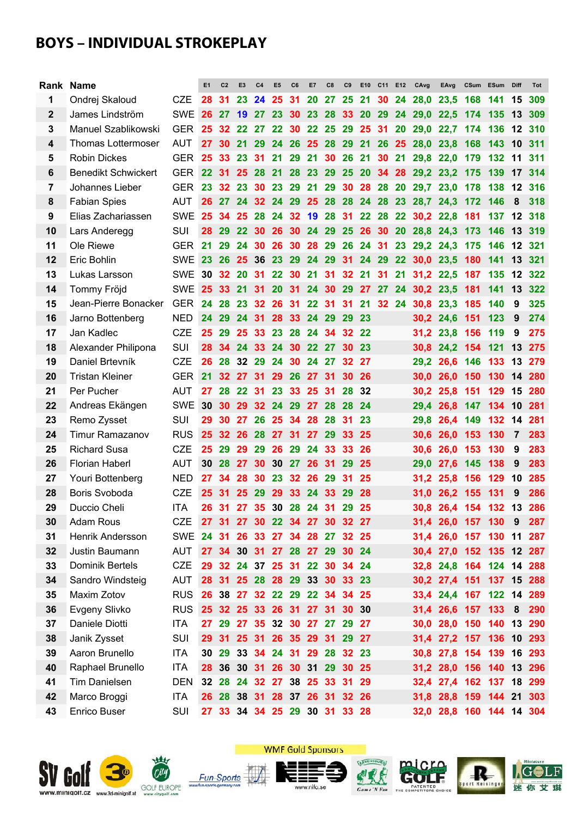## **BOYS – INDIVIDUAL STROKEPLAY**

|                | Rank Name                  |            | E1 | C <sub>2</sub>  | E <sub>3</sub>  | C <sub>4</sub>  | E <sub>5</sub> | C <sub>6</sub>       | E7        | C8        | C9                            | E <sub>10</sub> | C11 E12   |           | CAvg      | EAvg                     |         | CSum ESum | <b>Diff</b>   | <b>Tot</b> |
|----------------|----------------------------|------------|----|-----------------|-----------------|-----------------|----------------|----------------------|-----------|-----------|-------------------------------|-----------------|-----------|-----------|-----------|--------------------------|---------|-----------|---------------|------------|
| 1              | Ondrej Skaloud             | <b>CZE</b> | 28 | 31              | 23              | 24              | 25             | 31                   | <b>20</b> | 27        | 25                            | 21              | 30 24     |           | 28,0      | 23,5                     | 168     | 141       | 15            | 309        |
| $\mathbf{2}$   | James Lindström            | <b>SWE</b> | 26 | 27              | 19              | 27              | 23             | <b>30</b>            | 23        |           | 28 33 20                      |                 | 29        | 24        | 29,0 22,5 |                          | 174     | 135       | 13            | 309        |
| 3              | Manuel Szablikowski        | GER        | 25 | - 32            |                 | 22 27           |                |                      |           |           | 22 30 22 25 29 25 31          |                 |           | <b>20</b> | 29,0 22,7 |                          | 174     | 136       | $^{\circ}$ 12 | 310        |
| 4              | <b>Thomas Lottermoser</b>  | <b>AUT</b> | 27 | 30              | 21              | <b>29</b>       |                | 24 26                | 25 28 29  |           |                               | 21              | 26        | 25        | 28,0      | 23,8                     | 168     | 143       | 10            | 311        |
| 5              | <b>Robin Dickes</b>        | <b>GER</b> | 25 | 33              | 23              | 31              | 21             |                      | 29 21     |           | 30 26 21                      |                 | 30 21     |           | 29,8      | 22,0                     | 179     | 132       | 11            | 311        |
| 6              | <b>Benedikt Schwickert</b> | <b>GER</b> | 22 | -31             | 25              | 28              | 21             | <b>28</b>            | 23 29     |           | <b>25</b>                     | <b>20</b>       | 34 28     |           | 29,2 23,2 |                          | 175     | 139       | 17            | 314        |
| $\overline{7}$ | Johannes Lieber            | <b>GER</b> | 23 | 32 <sup>°</sup> | 23              |                 |                | 30 23 29 21 29       |           |           |                               | 30 28 28        |           | <b>20</b> | 29,7 23,0 |                          | 178     | 138       | 12            | 316        |
| 8              | <b>Fabian Spies</b>        | <b>AUT</b> | 26 | -27             |                 |                 | 24 32 24 29    |                      | 25 28 28  |           |                               |                 | 24 28     | 23        | 28,7 24,3 |                          | 172     | 146       | 8             | 318        |
| 9              | Elias Zachariassen         | <b>SWE</b> | 25 | 34              | 25              | 28              |                |                      |           |           | 24 32 19 28 31                |                 | 22 28     | 22        | 30,2 22,8 |                          | 181     | 137       | 12            | 318        |
| 10             | Lars Anderegg              | <b>SUI</b> | 28 | 29              | 22              | 30              | 26             | - 30                 | 24 29     |           | 25 26 30                      |                 |           | <b>20</b> | 28,8 24,3 |                          | 173     | 146       | 13            | 319        |
| 11             | Ole Riewe                  | <b>GER</b> | 21 | 29              | 24              | 30              | 26             | 30                   | 28 29     |           | 26                            | 24 31           |           | 23        | 29,2 24,3 |                          | 175     | 146       | 12            | 321        |
| 12             | Eric Bohlin                | <b>SWE</b> | 23 | <b>26</b>       | 25              | 36              | <b>23</b>      | <b>29</b>            | 24 29     |           | 31                            | 24 29           |           | 22        | 30.0      | 23,5                     | 180     | 141       | 13            | 321        |
| 13             | Lukas Larsson              | <b>SWE</b> | 30 | 32              | <b>20</b>       | 31              | 22             | 30 21                |           | 31        | 32 <sub>2</sub>               | 21              | 31        | 21        | 31,2 22,5 |                          | 187     | 135       | 12            | 322        |
| 14             | Tommy Fröjd                | <b>SWE</b> | 25 | 33              | 21              | 31              | 20             | 31                   | 24        | 30        | <b>29</b>                     | 27              | <b>27</b> | 24        | 30,2 23,5 |                          | 181     | 141       | 13            | 322        |
| 15             | Jean-Pierre Bonacker       | <b>GER</b> | 24 | 28              | 23              | 32 <sub>2</sub> | 26             | 31                   | 22        | 31        | 31                            | 21              | 32 24     |           | 30,8      | 23,3                     | 185     | 140       | 9             | 325        |
| 16             | Jarno Bottenberg           | <b>NED</b> | 24 | -29             | 24              | 31              | 28             | 33                   | 24        | 29        | 29                            | 23              |           |           |           | 30,2 24,6                | 151     | 123       | 9             | 274        |
| 17             | Jan Kadlec                 | <b>CZE</b> | 25 | 29              | 25              | 33 <sub>o</sub> | 23             | <b>28</b>            | 24        | 34        | 32                            | 22              |           |           | 31,2      | 23,8                     | 156 119 |           | 9             | 275        |
| 18             | Alexander Philipona        | <b>SUI</b> | 28 | 34              | 24              | 33              | 24             | 30                   | 22        | 27        | 30                            | 23              |           |           | 30.8      | 24,2                     | 154 121 |           | 13            | 275        |
| 19             | Daniel Brtevník            | <b>CZE</b> | 26 | 28              | 32 <sub>2</sub> | 29              | 24             | <b>30</b>            | 24        | 27        |                               | 32 27           |           |           | 29,2      | 26,6 146 133             |         |           | 13            | 279        |
| 20             | <b>Tristan Kleiner</b>     | <b>GER</b> | 21 | 32              | 27              | 31              | 29             | <b>26</b>            | <b>27</b> | 31        | 30                            | 26              |           |           | 30.0      | 26,0                     | 150 130 |           | 14            | 280        |
| 21             | Per Pucher                 | <b>AUT</b> | 27 | 28              | 22              | 31              | 23             | 33                   | 25        | 31        | 28                            | 32              |           |           | 30,2      | 25,8                     | 151     | 129       | 15            | 280        |
| 22             | Andreas Ekängen            | <b>SWE</b> | 30 | 30              | 29              | 32              | 24             | 29                   | 27        | <b>28</b> | -28                           | 24              |           |           | 29,4      | 26,8                     | 147 134 |           | 10            | 281        |
| 23             | Remo Zysset                | SUI        | 29 | 30              | 27              | 26              | 25 34          |                      | 28        | 28        | 31                            | 23              |           |           | 29,8      | 26,4                     | 149 132 |           | 14            | 281        |
| 24             | <b>Timur Ramazanov</b>     | <b>RUS</b> | 25 | 32              | -26             | 28              | 27 31          |                      | 27        | -29       | 33                            | 25              |           |           | 30,6      | <b>26.0</b>              | 153     | 130       | 7             | 283        |
| 25             | <b>Richard Susa</b>        | <b>CZE</b> | 25 | 29              | 29              | 29              | 26             | 29                   | 24        | 33        | 33                            | 26              |           |           | 30,6      | 26,0                     | 153     | 130       | 9             | 283        |
| 26             | <b>Florian Haberl</b>      | <b>AUT</b> | 30 | 28              | 27              | 30              | 30             | 27                   | 26        | 31        | 29                            | 25              |           |           | 29,0      | 27,6                     | 145     | 138       | 9             | 283        |
| 27             | Youri Bottenberg           | <b>NED</b> | 27 | 34              | 28              | 30              | 23             | $32\phantom{a}$      | 26        | 29        | 31                            | 25              |           |           | 31,2      | 25,8                     | 156 129 |           | 10            | 285        |
| 28             | Boris Svoboda              | <b>CZE</b> | 25 | -31             | 25              | 29              | 29             | 33                   | 24        | 33        | 29                            | 28              |           |           | 31.0      | 26.2                     | 155 131 |           | 9             | 286        |
| 29             | Duccio Cheli               | <b>ITA</b> | 26 | -31             | 27              | 35 <sub>o</sub> |                | 30 28                | -24       | 31        | 29                            | 25              |           |           | 30,8      | 26,4 154 132             |         |           | 13            | 286        |
| 30             | Adam Rous                  | CZE        |    | 27 31           |                 |                 |                |                      |           |           | 27 30 22 34 27 30 32 27       |                 |           |           |           | 31,4 26,0 157 130 9 287  |         |           |               |            |
| 31             | Henrik Andersson           | <b>SWE</b> | 24 | -31             | 26              |                 | 33 27 34       |                      |           |           | 28 27 32 25                   |                 |           |           |           | 31,4 26,0 157 130 11 287 |         |           |               |            |
| 32             | Justin Baumann             | <b>AUT</b> |    | 27 34           |                 |                 |                |                      |           |           | 30 31 27 28 27 29 30 24       |                 |           |           |           | 30,4 27,0 152 135 12 287 |         |           |               |            |
| 33             | Dominik Bertels            | <b>CZE</b> |    |                 |                 |                 |                |                      |           |           | 29 32 24 37 25 31 22 30 34 24 |                 |           |           |           | 32,8 24,8 164 124 14 288 |         |           |               |            |
| 34             | Sandro Windsteig           | <b>AUT</b> |    | 28 31           |                 |                 |                |                      |           |           | 25 28 28 29 33 30 33 23       |                 |           |           |           | 30,2 27,4 151 137 15 288 |         |           |               |            |
| 35             | Maxim Zotov                | <b>RUS</b> |    | 26 38           |                 |                 |                | 27 32 22 29 22       |           |           | 34 34 25                      |                 |           |           |           | 33,4 24,4 167 122 14 289 |         |           |               |            |
| 36             | Evgeny Slivko              | <b>RUS</b> |    | 25 32           |                 |                 |                |                      |           |           | 25 33 26 31 27 31 30          | 30              |           |           |           | 31,4 26,6 157 133 8      |         |           |               | 290        |
| 37             | Daniele Diotti             | <b>ITA</b> |    | 27 29           |                 |                 |                |                      |           |           | 27 35 32 30 27 27 29 27       |                 |           |           |           | 30,0 28,0 150 140 13 290 |         |           |               |            |
| 38             | Janik Zysset               | <b>SUI</b> | 29 | - 31            |                 |                 |                | 25 31 26 35 29 31 29 |           |           |                               | - 27            |           |           |           | 31,4 27,2 157 136 10 293 |         |           |               |            |
| 39             | Aaron Brunello             | <b>ITA</b> |    | 30 29           |                 |                 |                |                      |           |           | 33 34 24 31 29 28 32 23       |                 |           |           |           | 30,8 27,8 154 139 16 293 |         |           |               |            |
| 40             | Raphael Brunello           | <b>ITA</b> | 28 | 36              |                 |                 |                |                      |           |           | 30 31 26 30 31 29 30 25       |                 |           |           |           | 31,2 28,0 156 140 13 296 |         |           |               |            |
| 41             | Tim Danielsen              | DEN        |    | 32 28           |                 |                 |                |                      |           |           | 24 32 27 38 25 33 31 29       |                 |           |           |           | 32,4 27,4 162 137 18     |         |           |               | 299        |
| 42             | Marco Broggi               | <b>ITA</b> |    | 26 28           |                 |                 |                |                      |           |           | 38 31 28 37 26 31 32 26       |                 |           |           |           | 31,8 28,8 159 144 21 303 |         |           |               |            |
| 43             | Enrico Buser               | SUI        | 27 | 33              |                 |                 |                |                      |           |           | 34 34 25 29 30 31 33 28       |                 |           |           |           | 32,0 28,8 160 144 14 304 |         |           |               |            |
|                |                            |            |    |                 |                 |                 |                |                      |           |           |                               |                 |           |           |           |                          |         |           |               |            |







www.nifo.se







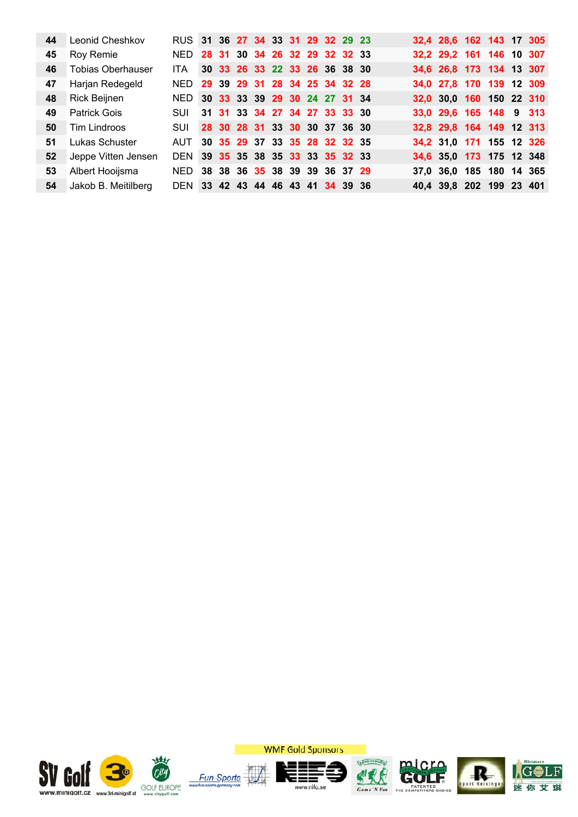|    | 44 Leonid Cheshkov            | RUS 31 36 27 34 33 31 29 32 29 23 |  |                               |  |  |  |  | 32,4 28,6 162 143 17 305 |  |  |
|----|-------------------------------|-----------------------------------|--|-------------------------------|--|--|--|--|--------------------------|--|--|
| 45 | Roy Remie                     | NED 28 31 30 34 26 32 29 32 32 33 |  |                               |  |  |  |  | 32,2 29,2 161 146 10 307 |  |  |
| 46 | Tobias Oberhauser             | ITA I                             |  | 30 33 26 33 22 33 26 36 38 30 |  |  |  |  | 34,6 26,8 173 134 13 307 |  |  |
| 47 | Harjan Redegeld               | NED 29 39 29 31 28 34 25 34 32 28 |  |                               |  |  |  |  | 34,0 27,8 170 139 12 309 |  |  |
|    | 48 Rick Beijnen               | NED 30 33 33 39 29 30 24 27 31 34 |  |                               |  |  |  |  | 32,0 30,0 160 150 22 310 |  |  |
| 49 | Patrick Gois                  | SUI 31 31 33 34 27 34 27 33 33 30 |  |                               |  |  |  |  | 33,0 29,6 165 148 9 313  |  |  |
| 50 | Tim Lindroos                  | SUI 28 30 28 31 33 30 30 37 36 30 |  |                               |  |  |  |  | 32,8 29,8 164 149 12 313 |  |  |
| 51 | <b>Lukas Schuster</b>         | AUT 30 35 29 37 33 35 28 32 32 35 |  |                               |  |  |  |  | 34,2 31,0 171 155 12 326 |  |  |
|    | <b>52</b> Jeppe Vitten Jensen | DEN 39 35 35 38 35 33 33 35 32 33 |  |                               |  |  |  |  | 34,6 35,0 173 175 12 348 |  |  |
| 53 | Albert Hooijsma               | NED 38 38 36 35 38 39 39 36 37 29 |  |                               |  |  |  |  | 37,0 36,0 185 180 14 365 |  |  |
|    | 54 Jakob B. Meitilberg        | DEN 33 42 43 44 46 43 41 34 39 36 |  |                               |  |  |  |  | 40,4 39,8 202 199 23 401 |  |  |
|    |                               |                                   |  |                               |  |  |  |  |                          |  |  |



**WMF Gold Sponsors** 









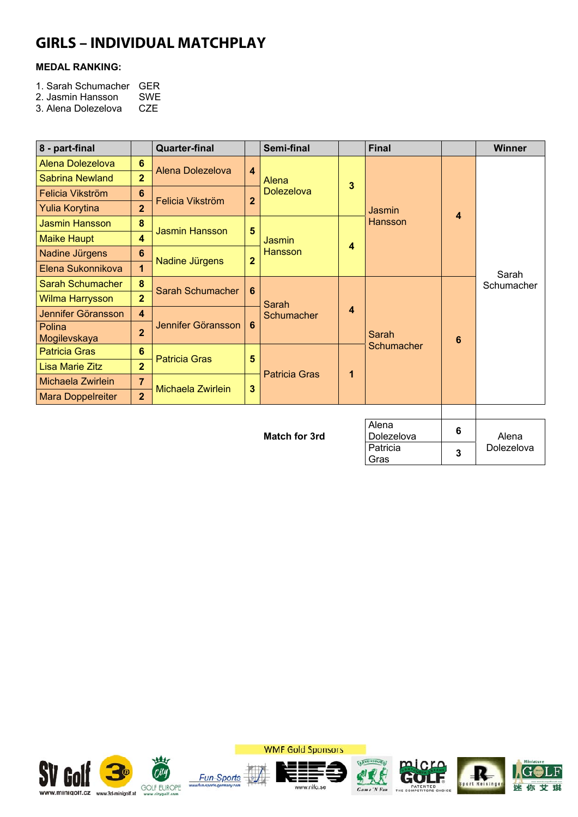## **GIRLS – INDIVIDUAL MATCHPLAY**

#### **MEDAL RANKING:**

- 1. Sarah Schumacher GER<br>2. Jasmin Hansson SWE
- 2. Jasmin Hansson SWE<br>3. Alena Dolezelova CZE
- 3. Alena Dolezelova

| 8 - part-final           |                         | <b>Quarter-final</b>  |                         | Semi-final           |                         | <b>Final</b>        |                         | Winner     |  |  |  |
|--------------------------|-------------------------|-----------------------|-------------------------|----------------------|-------------------------|---------------------|-------------------------|------------|--|--|--|
| <b>Alena Dolezelova</b>  | $6\phantom{1}$          | Alena Dolezelova      | $\overline{\mathbf{4}}$ |                      |                         |                     |                         |            |  |  |  |
| Sabrina Newland          | $\overline{2}$          |                       |                         | Alena                | 3                       |                     |                         |            |  |  |  |
| Felicia Vikström         | 6                       |                       | $\mathbf{2}$            | <b>Dolezelova</b>    |                         |                     |                         |            |  |  |  |
| <b>Yulia Korytina</b>    | $\overline{2}$          | Felicia Vikström      |                         |                      |                         | Jasmin              | $\overline{\mathbf{4}}$ |            |  |  |  |
| <b>Jasmin Hansson</b>    | 8                       | <b>Jasmin Hansson</b> | $5\phantom{.0}$         |                      |                         | <b>Hansson</b>      |                         |            |  |  |  |
| <b>Maike Haupt</b>       | $\overline{\mathbf{4}}$ |                       |                         | Jasmin               | $\overline{\mathbf{4}}$ |                     |                         |            |  |  |  |
| Nadine Jürgens           | 6                       | Nadine Jürgens        | $\overline{2}$          | Hansson              |                         |                     |                         |            |  |  |  |
| Elena Sukonnikova        | $\overline{1}$          |                       |                         |                      |                         |                     |                         | Sarah      |  |  |  |
| <b>Sarah Schumacher</b>  | 8                       | Sarah Schumacher      | 6                       |                      |                         |                     |                         | Schumacher |  |  |  |
| Wilma Harrysson          | $\overline{2}$          |                       |                         | Sarah                |                         |                     |                         |            |  |  |  |
| Jennifer Göransson       | $\overline{\mathbf{4}}$ |                       |                         | Schumacher           | $\overline{\mathbf{4}}$ |                     |                         |            |  |  |  |
| Polina<br>Mogilevskaya   | $\overline{2}$          | Jennifer Göransson    | 6                       |                      |                         | Sarah               | 6                       |            |  |  |  |
| <b>Patricia Gras</b>     | 6                       | <b>Patricia Gras</b>  | 5                       |                      |                         | Schumacher          |                         |            |  |  |  |
| <b>Lisa Marie Zitz</b>   | $\overline{2}$          |                       |                         | <b>Patricia Gras</b> | 1                       |                     |                         |            |  |  |  |
| Michaela Zwirlein        | 7                       | Michaela Zwirlein     | $\mathbf{3}$            |                      |                         |                     |                         |            |  |  |  |
| <b>Mara Doppelreiter</b> | $\overline{2}$          |                       |                         |                      |                         |                     |                         |            |  |  |  |
|                          |                         |                       |                         |                      |                         |                     |                         |            |  |  |  |
|                          |                         |                       |                         | <b>Match for 3rd</b> |                         | Alena<br>Dolezelova | 6                       | Alena      |  |  |  |
|                          |                         |                       |                         |                      |                         | Patricia<br>Gras    |                         | Dolezelova |  |  |  |





Ξ www.nifo.se







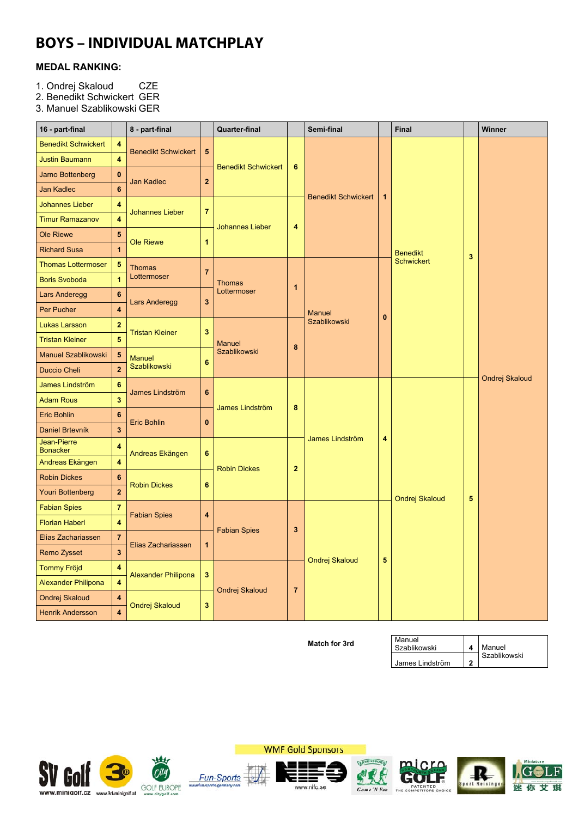## **BOYS – INDIVIDUAL MATCHPLAY**

#### **MEDAL RANKING:**

- 1. Ondrej Skaloud CZE
- 2. Benedikt Schwickert GER

3. Manuel Szablikowski GER

| <b>Benedikt Schwickert</b><br>4<br><b>Benedikt Schwickert</b><br>$5\phantom{.0}$<br>$\overline{\mathbf{4}}$<br><b>Justin Baumann</b><br><b>Benedikt Schwickert</b><br>6<br>$\bf{0}$<br>Jarno Bottenberg<br>$\mathbf{2}$<br><b>Jan Kadlec</b><br>$6\phantom{a}$<br><b>Jan Kadlec</b><br><b>Benedikt Schwickert</b><br>$\mathbf{1}$<br><b>Johannes Lieber</b><br>4<br>$\overline{7}$<br><b>Johannes Lieber</b><br>$\overline{\bf 4}$<br><b>Timur Ramazanov</b><br><b>Johannes Lieber</b><br>4<br><b>Ole Riewe</b><br>5<br><b>Ole Riewe</b><br>1<br>$\overline{1}$<br><b>Richard Susa</b><br><b>Benedikt</b><br>3<br><b>Schwickert</b><br>$\sqrt{5}$<br><b>Thomas Lottermoser</b><br><b>Thomas</b><br>$\overline{7}$<br>Lottermoser<br>$\overline{1}$<br><b>Boris Svoboda</b><br><b>Thomas</b><br>1<br>Lottermoser<br>$6\phantom{1}6$<br>Lars Anderegg<br>$\overline{\mathbf{3}}$<br>Lars Anderegg<br>4<br>Per Pucher<br><b>Manuel</b><br>$\mathbf{0}$<br>Szablikowski<br>$\overline{2}$<br><b>Lukas Larsson</b><br><b>Tristan Kleiner</b><br>3<br>$\overline{5}$<br><b>Tristan Kleiner</b><br><b>Manuel</b><br>8<br><b>Szablikowski</b><br>Manuel Szablikowski<br>$\sqrt{5}$<br><b>Manuel</b><br>6<br>Szablikowski<br>$\overline{\mathbf{c}}$<br><b>Duccio Cheli</b><br>Ondrej Skaloud<br>6<br>James Lindström<br>6<br>James Lindström<br>3<br><b>Adam Rous</b><br>8<br>James Lindström<br>$6\phantom{1}$<br><b>Eric Bohlin</b><br><b>Eric Bohlin</b><br>$\bf{0}$<br>3<br>Daniel Brtevník<br>James Lindström<br>4<br>Jean-Pierre<br>$\overline{\mathbf{4}}$<br><b>Bonacker</b><br>6<br>Andreas Ekängen<br>$\overline{\mathbf{4}}$<br>Andreas Ekängen<br>$\overline{2}$<br><b>Robin Dickes</b><br><b>Robin Dickes</b><br>$6\phantom{1}6$<br><b>Robin Dickes</b><br>$6\phantom{1}$<br>$\overline{2}$<br>Youri Bottenberg<br>5<br>Ondrej Skaloud<br>$\overline{\mathbf{7}}$<br><b>Fabian Spies</b><br><b>Fabian Spies</b><br>4<br>$\overline{\mathbf{4}}$<br><b>Florian Haberl</b><br><b>Fabian Spies</b><br>3<br>$\overline{7}$<br>Elias Zachariassen<br>Elias Zachariassen<br>$\mathbf{1}$<br>$\overline{\mathbf{3}}$<br>Remo Zysset<br>5<br>Ondrej Skaloud<br><b>Tommy Fröjd</b><br>$\overline{\mathbf{4}}$<br><b>Alexander Philipona</b><br>3 <sup>2</sup><br>$\overline{\mathbf{4}}$<br><b>Alexander Philipona</b><br>$\overline{7}$<br>Ondrej Skaloud | 16 - part-final |                      | 8 - part-final |  | <b>Quarter-final</b> |  | Semi-final | Final |  | Winner |
|--------------------------------------------------------------------------------------------------------------------------------------------------------------------------------------------------------------------------------------------------------------------------------------------------------------------------------------------------------------------------------------------------------------------------------------------------------------------------------------------------------------------------------------------------------------------------------------------------------------------------------------------------------------------------------------------------------------------------------------------------------------------------------------------------------------------------------------------------------------------------------------------------------------------------------------------------------------------------------------------------------------------------------------------------------------------------------------------------------------------------------------------------------------------------------------------------------------------------------------------------------------------------------------------------------------------------------------------------------------------------------------------------------------------------------------------------------------------------------------------------------------------------------------------------------------------------------------------------------------------------------------------------------------------------------------------------------------------------------------------------------------------------------------------------------------------------------------------------------------------------------------------------------------------------------------------------------------------------------------------------------------------------------------------------------------------------------------------------------------------------------------------------------------------------------------------------------------------------------------------------------------------------------------------------------------------------------------------------------|-----------------|----------------------|----------------|--|----------------------|--|------------|-------|--|--------|
|                                                                                                                                                                                                                                                                                                                                                                                                                                                                                                                                                                                                                                                                                                                                                                                                                                                                                                                                                                                                                                                                                                                                                                                                                                                                                                                                                                                                                                                                                                                                                                                                                                                                                                                                                                                                                                                                                                                                                                                                                                                                                                                                                                                                                                                                                                                                                        |                 |                      |                |  |                      |  |            |       |  |        |
|                                                                                                                                                                                                                                                                                                                                                                                                                                                                                                                                                                                                                                                                                                                                                                                                                                                                                                                                                                                                                                                                                                                                                                                                                                                                                                                                                                                                                                                                                                                                                                                                                                                                                                                                                                                                                                                                                                                                                                                                                                                                                                                                                                                                                                                                                                                                                        |                 |                      |                |  |                      |  |            |       |  |        |
|                                                                                                                                                                                                                                                                                                                                                                                                                                                                                                                                                                                                                                                                                                                                                                                                                                                                                                                                                                                                                                                                                                                                                                                                                                                                                                                                                                                                                                                                                                                                                                                                                                                                                                                                                                                                                                                                                                                                                                                                                                                                                                                                                                                                                                                                                                                                                        |                 |                      |                |  |                      |  |            |       |  |        |
|                                                                                                                                                                                                                                                                                                                                                                                                                                                                                                                                                                                                                                                                                                                                                                                                                                                                                                                                                                                                                                                                                                                                                                                                                                                                                                                                                                                                                                                                                                                                                                                                                                                                                                                                                                                                                                                                                                                                                                                                                                                                                                                                                                                                                                                                                                                                                        |                 |                      |                |  |                      |  |            |       |  |        |
|                                                                                                                                                                                                                                                                                                                                                                                                                                                                                                                                                                                                                                                                                                                                                                                                                                                                                                                                                                                                                                                                                                                                                                                                                                                                                                                                                                                                                                                                                                                                                                                                                                                                                                                                                                                                                                                                                                                                                                                                                                                                                                                                                                                                                                                                                                                                                        |                 |                      |                |  |                      |  |            |       |  |        |
|                                                                                                                                                                                                                                                                                                                                                                                                                                                                                                                                                                                                                                                                                                                                                                                                                                                                                                                                                                                                                                                                                                                                                                                                                                                                                                                                                                                                                                                                                                                                                                                                                                                                                                                                                                                                                                                                                                                                                                                                                                                                                                                                                                                                                                                                                                                                                        |                 |                      |                |  |                      |  |            |       |  |        |
|                                                                                                                                                                                                                                                                                                                                                                                                                                                                                                                                                                                                                                                                                                                                                                                                                                                                                                                                                                                                                                                                                                                                                                                                                                                                                                                                                                                                                                                                                                                                                                                                                                                                                                                                                                                                                                                                                                                                                                                                                                                                                                                                                                                                                                                                                                                                                        |                 |                      |                |  |                      |  |            |       |  |        |
|                                                                                                                                                                                                                                                                                                                                                                                                                                                                                                                                                                                                                                                                                                                                                                                                                                                                                                                                                                                                                                                                                                                                                                                                                                                                                                                                                                                                                                                                                                                                                                                                                                                                                                                                                                                                                                                                                                                                                                                                                                                                                                                                                                                                                                                                                                                                                        |                 |                      |                |  |                      |  |            |       |  |        |
|                                                                                                                                                                                                                                                                                                                                                                                                                                                                                                                                                                                                                                                                                                                                                                                                                                                                                                                                                                                                                                                                                                                                                                                                                                                                                                                                                                                                                                                                                                                                                                                                                                                                                                                                                                                                                                                                                                                                                                                                                                                                                                                                                                                                                                                                                                                                                        |                 |                      |                |  |                      |  |            |       |  |        |
|                                                                                                                                                                                                                                                                                                                                                                                                                                                                                                                                                                                                                                                                                                                                                                                                                                                                                                                                                                                                                                                                                                                                                                                                                                                                                                                                                                                                                                                                                                                                                                                                                                                                                                                                                                                                                                                                                                                                                                                                                                                                                                                                                                                                                                                                                                                                                        |                 |                      |                |  |                      |  |            |       |  |        |
|                                                                                                                                                                                                                                                                                                                                                                                                                                                                                                                                                                                                                                                                                                                                                                                                                                                                                                                                                                                                                                                                                                                                                                                                                                                                                                                                                                                                                                                                                                                                                                                                                                                                                                                                                                                                                                                                                                                                                                                                                                                                                                                                                                                                                                                                                                                                                        |                 |                      |                |  |                      |  |            |       |  |        |
|                                                                                                                                                                                                                                                                                                                                                                                                                                                                                                                                                                                                                                                                                                                                                                                                                                                                                                                                                                                                                                                                                                                                                                                                                                                                                                                                                                                                                                                                                                                                                                                                                                                                                                                                                                                                                                                                                                                                                                                                                                                                                                                                                                                                                                                                                                                                                        |                 |                      |                |  |                      |  |            |       |  |        |
|                                                                                                                                                                                                                                                                                                                                                                                                                                                                                                                                                                                                                                                                                                                                                                                                                                                                                                                                                                                                                                                                                                                                                                                                                                                                                                                                                                                                                                                                                                                                                                                                                                                                                                                                                                                                                                                                                                                                                                                                                                                                                                                                                                                                                                                                                                                                                        |                 |                      |                |  |                      |  |            |       |  |        |
|                                                                                                                                                                                                                                                                                                                                                                                                                                                                                                                                                                                                                                                                                                                                                                                                                                                                                                                                                                                                                                                                                                                                                                                                                                                                                                                                                                                                                                                                                                                                                                                                                                                                                                                                                                                                                                                                                                                                                                                                                                                                                                                                                                                                                                                                                                                                                        |                 |                      |                |  |                      |  |            |       |  |        |
|                                                                                                                                                                                                                                                                                                                                                                                                                                                                                                                                                                                                                                                                                                                                                                                                                                                                                                                                                                                                                                                                                                                                                                                                                                                                                                                                                                                                                                                                                                                                                                                                                                                                                                                                                                                                                                                                                                                                                                                                                                                                                                                                                                                                                                                                                                                                                        |                 |                      |                |  |                      |  |            |       |  |        |
|                                                                                                                                                                                                                                                                                                                                                                                                                                                                                                                                                                                                                                                                                                                                                                                                                                                                                                                                                                                                                                                                                                                                                                                                                                                                                                                                                                                                                                                                                                                                                                                                                                                                                                                                                                                                                                                                                                                                                                                                                                                                                                                                                                                                                                                                                                                                                        |                 |                      |                |  |                      |  |            |       |  |        |
|                                                                                                                                                                                                                                                                                                                                                                                                                                                                                                                                                                                                                                                                                                                                                                                                                                                                                                                                                                                                                                                                                                                                                                                                                                                                                                                                                                                                                                                                                                                                                                                                                                                                                                                                                                                                                                                                                                                                                                                                                                                                                                                                                                                                                                                                                                                                                        |                 |                      |                |  |                      |  |            |       |  |        |
|                                                                                                                                                                                                                                                                                                                                                                                                                                                                                                                                                                                                                                                                                                                                                                                                                                                                                                                                                                                                                                                                                                                                                                                                                                                                                                                                                                                                                                                                                                                                                                                                                                                                                                                                                                                                                                                                                                                                                                                                                                                                                                                                                                                                                                                                                                                                                        |                 |                      |                |  |                      |  |            |       |  |        |
|                                                                                                                                                                                                                                                                                                                                                                                                                                                                                                                                                                                                                                                                                                                                                                                                                                                                                                                                                                                                                                                                                                                                                                                                                                                                                                                                                                                                                                                                                                                                                                                                                                                                                                                                                                                                                                                                                                                                                                                                                                                                                                                                                                                                                                                                                                                                                        |                 |                      |                |  |                      |  |            |       |  |        |
|                                                                                                                                                                                                                                                                                                                                                                                                                                                                                                                                                                                                                                                                                                                                                                                                                                                                                                                                                                                                                                                                                                                                                                                                                                                                                                                                                                                                                                                                                                                                                                                                                                                                                                                                                                                                                                                                                                                                                                                                                                                                                                                                                                                                                                                                                                                                                        |                 |                      |                |  |                      |  |            |       |  |        |
|                                                                                                                                                                                                                                                                                                                                                                                                                                                                                                                                                                                                                                                                                                                                                                                                                                                                                                                                                                                                                                                                                                                                                                                                                                                                                                                                                                                                                                                                                                                                                                                                                                                                                                                                                                                                                                                                                                                                                                                                                                                                                                                                                                                                                                                                                                                                                        |                 |                      |                |  |                      |  |            |       |  |        |
|                                                                                                                                                                                                                                                                                                                                                                                                                                                                                                                                                                                                                                                                                                                                                                                                                                                                                                                                                                                                                                                                                                                                                                                                                                                                                                                                                                                                                                                                                                                                                                                                                                                                                                                                                                                                                                                                                                                                                                                                                                                                                                                                                                                                                                                                                                                                                        |                 |                      |                |  |                      |  |            |       |  |        |
|                                                                                                                                                                                                                                                                                                                                                                                                                                                                                                                                                                                                                                                                                                                                                                                                                                                                                                                                                                                                                                                                                                                                                                                                                                                                                                                                                                                                                                                                                                                                                                                                                                                                                                                                                                                                                                                                                                                                                                                                                                                                                                                                                                                                                                                                                                                                                        |                 |                      |                |  |                      |  |            |       |  |        |
|                                                                                                                                                                                                                                                                                                                                                                                                                                                                                                                                                                                                                                                                                                                                                                                                                                                                                                                                                                                                                                                                                                                                                                                                                                                                                                                                                                                                                                                                                                                                                                                                                                                                                                                                                                                                                                                                                                                                                                                                                                                                                                                                                                                                                                                                                                                                                        |                 |                      |                |  |                      |  |            |       |  |        |
|                                                                                                                                                                                                                                                                                                                                                                                                                                                                                                                                                                                                                                                                                                                                                                                                                                                                                                                                                                                                                                                                                                                                                                                                                                                                                                                                                                                                                                                                                                                                                                                                                                                                                                                                                                                                                                                                                                                                                                                                                                                                                                                                                                                                                                                                                                                                                        |                 |                      |                |  |                      |  |            |       |  |        |
|                                                                                                                                                                                                                                                                                                                                                                                                                                                                                                                                                                                                                                                                                                                                                                                                                                                                                                                                                                                                                                                                                                                                                                                                                                                                                                                                                                                                                                                                                                                                                                                                                                                                                                                                                                                                                                                                                                                                                                                                                                                                                                                                                                                                                                                                                                                                                        |                 |                      |                |  |                      |  |            |       |  |        |
|                                                                                                                                                                                                                                                                                                                                                                                                                                                                                                                                                                                                                                                                                                                                                                                                                                                                                                                                                                                                                                                                                                                                                                                                                                                                                                                                                                                                                                                                                                                                                                                                                                                                                                                                                                                                                                                                                                                                                                                                                                                                                                                                                                                                                                                                                                                                                        |                 |                      |                |  |                      |  |            |       |  |        |
|                                                                                                                                                                                                                                                                                                                                                                                                                                                                                                                                                                                                                                                                                                                                                                                                                                                                                                                                                                                                                                                                                                                                                                                                                                                                                                                                                                                                                                                                                                                                                                                                                                                                                                                                                                                                                                                                                                                                                                                                                                                                                                                                                                                                                                                                                                                                                        |                 |                      |                |  |                      |  |            |       |  |        |
|                                                                                                                                                                                                                                                                                                                                                                                                                                                                                                                                                                                                                                                                                                                                                                                                                                                                                                                                                                                                                                                                                                                                                                                                                                                                                                                                                                                                                                                                                                                                                                                                                                                                                                                                                                                                                                                                                                                                                                                                                                                                                                                                                                                                                                                                                                                                                        |                 |                      |                |  |                      |  |            |       |  |        |
|                                                                                                                                                                                                                                                                                                                                                                                                                                                                                                                                                                                                                                                                                                                                                                                                                                                                                                                                                                                                                                                                                                                                                                                                                                                                                                                                                                                                                                                                                                                                                                                                                                                                                                                                                                                                                                                                                                                                                                                                                                                                                                                                                                                                                                                                                                                                                        |                 |                      |                |  |                      |  |            |       |  |        |
| Ondrej Skaloud<br>3 <sup>2</sup>                                                                                                                                                                                                                                                                                                                                                                                                                                                                                                                                                                                                                                                                                                                                                                                                                                                                                                                                                                                                                                                                                                                                                                                                                                                                                                                                                                                                                                                                                                                                                                                                                                                                                                                                                                                                                                                                                                                                                                                                                                                                                                                                                                                                                                                                                                                       | Ondrej Skaloud  | $\ddot{\phantom{a}}$ |                |  |                      |  |            |       |  |        |
| $\overline{\mathbf{4}}$<br><b>Henrik Andersson</b>                                                                                                                                                                                                                                                                                                                                                                                                                                                                                                                                                                                                                                                                                                                                                                                                                                                                                                                                                                                                                                                                                                                                                                                                                                                                                                                                                                                                                                                                                                                                                                                                                                                                                                                                                                                                                                                                                                                                                                                                                                                                                                                                                                                                                                                                                                     |                 |                      |                |  |                      |  |            |       |  |        |

**Match for 3rd** Manuel

Szablikowski **4** Manuel<br>Szablikowski Szablikowski James Lindström | 2







www.nifo.se







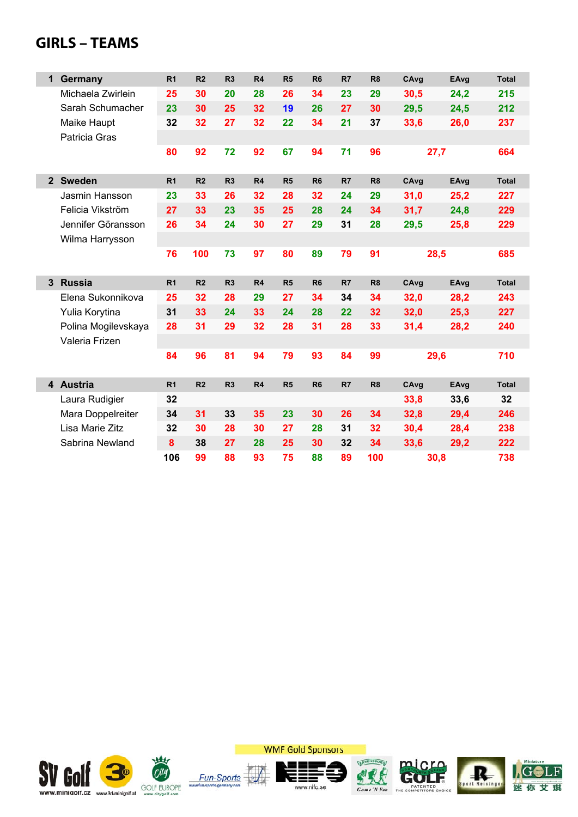## **GIRLS – TEAMS**

| 1              | Germany             | R <sub>1</sub> | R <sub>2</sub> | R <sub>3</sub> | R <sub>4</sub> | R5             | R <sub>6</sub> | R7 | R <sub>8</sub> | CAvg | EAvg | <b>Total</b> |
|----------------|---------------------|----------------|----------------|----------------|----------------|----------------|----------------|----|----------------|------|------|--------------|
|                | Michaela Zwirlein   | 25             | 30             | 20             | 28             | 26             | 34             | 23 | 29             | 30,5 | 24,2 | 215          |
|                | Sarah Schumacher    | 23             | 30             | 25             | 32             | 19             | 26             | 27 | 30             | 29,5 | 24,5 | 212          |
|                | Maike Haupt         | 32             | 32             | 27             | 32             | 22             | 34             | 21 | 37             | 33,6 | 26,0 | 237          |
|                | Patricia Gras       |                |                |                |                |                |                |    |                |      |      |              |
|                |                     | 80             | 92             | 72             | 92             | 67             | 94             | 71 | 96             | 27,7 |      | 664          |
|                |                     |                |                |                |                |                |                |    |                |      |      |              |
| $\overline{2}$ | <b>Sweden</b>       | R <sub>1</sub> | R <sub>2</sub> | R <sub>3</sub> | R <sub>4</sub> | R <sub>5</sub> | R <sub>6</sub> | R7 | R <sub>8</sub> | CAvg | EAvg | <b>Total</b> |
|                | Jasmin Hansson      | 23             | 33             | 26             | 32             | 28             | 32             | 24 | 29             | 31,0 | 25,2 | 227          |
|                | Felicia Vikström    | 27             | 33             | 23             | 35             | 25             | 28             | 24 | 34             | 31,7 | 24,8 | 229          |
|                | Jennifer Göransson  | 26             | 34             | 24             | 30             | 27             | 29             | 31 | 28             | 29,5 | 25,8 | 229          |
|                | Wilma Harrysson     |                |                |                |                |                |                |    |                |      |      |              |
|                |                     | 76             | 100            | 73             | 97             | 80             | 89             | 79 | 91             | 28,5 |      | 685          |
|                |                     |                |                |                |                |                |                |    |                |      |      |              |
| 3              | <b>Russia</b>       | R <sub>1</sub> | R <sub>2</sub> | R <sub>3</sub> | R <sub>4</sub> | R5             | R <sub>6</sub> | R7 | R <sub>8</sub> | CAvg | EAvg | <b>Total</b> |
|                | Elena Sukonnikova   | 25             | 32             | 28             | 29             | 27             | 34             | 34 | 34             | 32,0 | 28,2 | 243          |
|                | Yulia Korytina      | 31             | 33             | 24             | 33             | 24             | 28             | 22 | 32             | 32,0 | 25,3 | 227          |
|                | Polina Mogilevskaya | 28             | 31             | 29             | 32             | 28             | 31             | 28 | 33             | 31,4 | 28,2 | 240          |
|                | Valeria Frizen      |                |                |                |                |                |                |    |                |      |      |              |
|                |                     | 84             | 96             | 81             | 94             | 79             | 93             | 84 | 99             | 29,6 |      | 710          |
|                |                     |                |                |                |                |                |                |    |                |      |      |              |
|                | 4 Austria           | R <sub>1</sub> | R <sub>2</sub> | R <sub>3</sub> | R <sub>4</sub> | R5             | R <sub>6</sub> | R7 | R <sub>8</sub> | CAvg | EAvg | <b>Total</b> |
|                | Laura Rudigier      | 32             |                |                |                |                |                |    |                | 33,8 | 33,6 | 32           |
|                | Mara Doppelreiter   | 34             | 31             | 33             | 35             | 23             | 30             | 26 | 34             | 32,8 | 29,4 | 246          |
|                | Lisa Marie Zitz     | 32             | 30             | 28             | 30             | 27             | 28             | 31 | 32             | 30,4 | 28,4 | 238          |
|                | Sabrina Newland     | 8              | 38             | 27             | 28             | 25             | 30             | 32 | 34             | 33,6 | 29,2 | 222          |
|                |                     | 106            | 99             | 88             | 93             | 75             | 88             | 89 | 100            | 30,8 |      | 738          |



**WMF Gold Sponsors** 









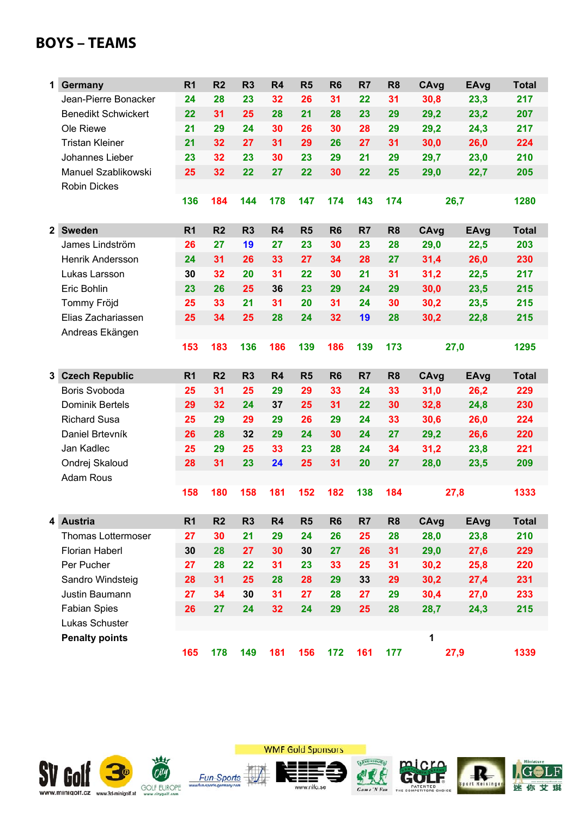## **BOYS – TEAMS**

| 1              | Germany                    | R <sub>1</sub> | R <sub>2</sub> | R <sub>3</sub> | R4             | R5             | R <sub>6</sub> | R7             | R <sub>8</sub> | CAvg | EAvg        | <b>Total</b> |
|----------------|----------------------------|----------------|----------------|----------------|----------------|----------------|----------------|----------------|----------------|------|-------------|--------------|
|                | Jean-Pierre Bonacker       | 24             | 28             | 23             | 32             | 26             | 31             | 22             | 31             | 30,8 | 23,3        | 217          |
|                | <b>Benedikt Schwickert</b> | 22             | 31             | 25             | 28             | 21             | 28             | 23             | 29             | 29,2 | 23,2        | 207          |
|                | Ole Riewe                  | 21             | 29             | 24             | 30             | 26             | 30             | 28             | 29             | 29,2 | 24,3        | 217          |
|                | <b>Tristan Kleiner</b>     | 21             | 32             | 27             | 31             | 29             | 26             | 27             | 31             | 30,0 | 26,0        | 224          |
|                | Johannes Lieber            | 23             | 32             | 23             | 30             | 23             | 29             | 21             | 29             | 29,7 | 23,0        | 210          |
|                | Manuel Szablikowski        | 25             | 32             | 22             | 27             | 22             | 30             | 22             | 25             | 29,0 | 22,7        | 205          |
|                | Robin Dickes               |                |                |                |                |                |                |                |                |      |             |              |
|                |                            | 136            | 184            | 144            | 178            | 147            | 174            | 143            | 174            | 26,7 |             | 1280         |
| 2 <sup>1</sup> | <b>Sweden</b>              | R <sub>1</sub> | R <sub>2</sub> | R <sub>3</sub> | R <sub>4</sub> | R5             | R <sub>6</sub> | R <sub>7</sub> | R <sub>8</sub> | CAvg | EAvg        | <b>Total</b> |
|                | James Lindström            | 26             | 27             | 19             | 27             | 23             | 30             | 23             | 28             | 29,0 | 22,5        | 203          |
|                | <b>Henrik Andersson</b>    | 24             | 31             | 26             | 33             | 27             | 34             | 28             | 27             | 31,4 | 26,0        | 230          |
|                | Lukas Larsson              | 30             | 32             | 20             | 31             | 22             | 30             | 21             | 31             | 31,2 | 22,5        | 217          |
|                | Eric Bohlin                | 23             | 26             | 25             | 36             | 23             | 29             | 24             | 29             | 30,0 | 23,5        | 215          |
|                | Tommy Fröjd                | 25             | 33             | 21             | 31             | 20             | 31             | 24             | 30             | 30,2 | 23,5        | 215          |
|                | Elias Zachariassen         | 25             | 34             | 25             | 28             | 24             | 32             | 19             | 28             | 30,2 | 22,8        | 215          |
|                | Andreas Ekängen            |                |                |                |                |                |                |                |                |      |             |              |
|                |                            | 153            | 183            | 136            | 186            | 139            | 186            | 139            | 173            | 27,0 |             | 1295         |
|                | 3 Czech Republic           | R <sub>1</sub> | R <sub>2</sub> | R <sub>3</sub> | R <sub>4</sub> | R5             | R <sub>6</sub> | R <sub>7</sub> | R <sub>8</sub> | CAvg | EAvg        | <b>Total</b> |
|                | Boris Svoboda              | 25             | 31             | 25             | 29             | 29             | 33             | 24             | 33             | 31,0 | 26,2        | 229          |
|                | Dominik Bertels            | 29             | 32             | 24             | 37             | 25             | 31             | 22             | 30             | 32,8 | 24,8        | 230          |
|                | <b>Richard Susa</b>        | 25             | 29             | 29             | 29             | 26             | 29             | 24             | 33             | 30,6 | 26,0        | 224          |
|                | Daniel Brtevník            | 26             | 28             | 32             | 29             | 24             | 30             | 24             | 27             | 29,2 | 26,6        | 220          |
|                | Jan Kadlec                 | 25             | 29             | 25             | 33             | 23             | 28             | 24             | 34             | 31,2 | 23,8        | 221          |
|                | Ondrej Skaloud             | 28             | 31             | 23             | 24             | 25             | 31             | 20             | 27             | 28,0 | 23,5        | 209          |
|                | <b>Adam Rous</b>           |                |                |                |                |                |                |                |                |      |             |              |
|                |                            | 158            | 180            | 158            | 181            | 152            | 182            | 138            | 184            | 27,8 |             | 1333         |
|                | 4 Austria                  | R <sub>1</sub> | R <sub>2</sub> | R <sub>3</sub> | R <sub>4</sub> | R <sub>5</sub> | R <sub>6</sub> | R7             | R <sub>8</sub> | CAvg | <b>EAvg</b> | <b>Total</b> |
|                | Thomas Lottermoser         | 27             | 30             | 21             | 29             | 24             | 26             | 25             | 28             | 28,0 | 23,8        | 210          |
|                | Florian Haberl             | 30             | 28             | 27             | 30             | 30             | 27             | 26             | 31             | 29,0 | 27,6        | 229          |
|                | Per Pucher                 | 27             | 28             | 22             | 31             | 23             | 33             | 25             | 31             | 30,2 | 25,8        | 220          |
|                | Sandro Windsteig           | 28             | 31             | 25             | 28             | 28             | 29             | 33             | 29             | 30,2 | 27,4        | 231          |
|                | Justin Baumann             | 27             | 34             | 30             | 31             | 27             | 28             | 27             | 29             | 30,4 | 27,0        | 233          |
|                | <b>Fabian Spies</b>        | 26             | 27             | 24             | 32             | 24             | 29             | 25             | 28             | 28,7 | 24,3        | 215          |
|                | Lukas Schuster             |                |                |                |                |                |                |                |                |      |             |              |
|                | <b>Penalty points</b>      |                |                |                |                |                |                |                |                | 1    |             |              |
|                |                            | 165            | 178            | 149            | 181            | 156            | 172            | 161            | 177            | 27,9 |             | 1339         |







www.nifo.se